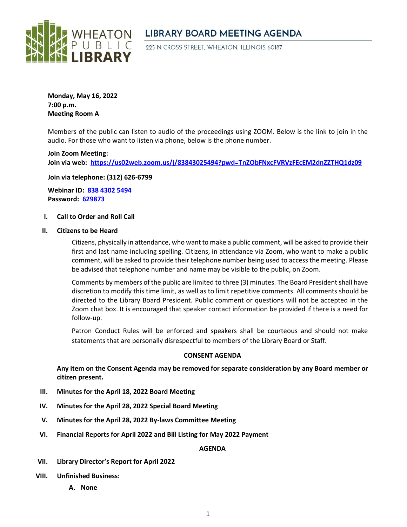

# **LIBRARY BOARD MEETING AGENDA**

225 N CROSS STREET, WHEATON, ILLINOIS 60187

**Monday, May 16, 2022 7:00 p.m. Meeting Room A**

Members of the public can listen to audio of the proceedings using ZOOM. Below is the link to join in the audio. For those who want to listen via phone, below is the phone number.

**Join Zoom Meeting: Join via web: <https://us02web.zoom.us/j/83843025494?pwd=TnZObFNxcFVRVzFEcEM2dnZZTHQ1dz09>**

**Join via telephone: (312) 626-6799**

**Webinar ID: 838 4302 5494 Password: 629873**

# **I. Call to Order and Roll Call**

### **II. Citizens to be Heard**

Citizens, physically in attendance, who want to make a public comment, will be asked to provide their first and last name including spelling. Citizens, in attendance via Zoom, who want to make a public comment, will be asked to provide their telephone number being used to access the meeting. Please be advised that telephone number and name may be visible to the public, on Zoom.

Comments by members of the public are limited to three (3) minutes. The Board President shall have discretion to modify this time limit, as well as to limit repetitive comments. All comments should be directed to the Library Board President. Public comment or questions will not be accepted in the Zoom chat box. It is encouraged that speaker contact information be provided if there is a need for follow-up.

Patron Conduct Rules will be enforced and speakers shall be courteous and should not make statements that are personally disrespectful to members of the Library Board or Staff.

# **CONSENT AGENDA**

**Any item on the Consent Agenda may be removed for separate consideration by any Board member or citizen present.**

- **III. Minutes for the April 18, 2022 Board Meeting**
- **IV. Minutes for the April 28, 2022 Special Board Meeting**
- **V. Minutes for the April 28, 2022 By-laws Committee Meeting**
- **VI. Financial Reports for April 2022 and Bill Listing for May 2022 Payment**

# **AGENDA**

- **VII. Library Director's Report for April 2022**
- **VIII. Unfinished Business:** 
	- **A. None**